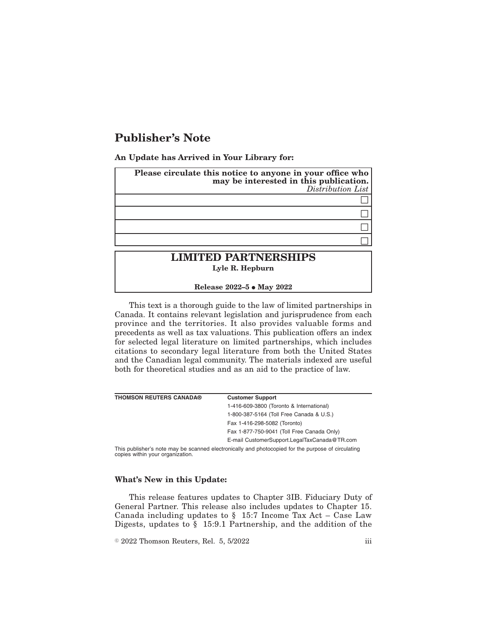## **Publisher's Note**

**An Update has Arrived in Your Library for:**

| Please circulate this notice to anyone in your office who<br>may be interested in this publication.<br>Distribution List |  |
|--------------------------------------------------------------------------------------------------------------------------|--|
|                                                                                                                          |  |
|                                                                                                                          |  |
|                                                                                                                          |  |
|                                                                                                                          |  |
| <b>LIMITED PARTNERSHIPS</b><br>Lyle R. Hepburn                                                                           |  |

**Release 2022-5 • May 2022** 

This text is a thorough guide to the law of limited partnerships in Canada. It contains relevant legislation and jurisprudence from each province and the territories. It also provides valuable forms and precedents as well as tax valuations. This publication offers an index for selected legal literature on limited partnerships, which includes citations to secondary legal literature from both the United States and the Canadian legal community. The materials indexed are useful both for theoretical studies and as an aid to the practice of law.

| <b>THOMSON REUTERS CANADA®</b>                                                                     | <b>Customer Support</b>                      |
|----------------------------------------------------------------------------------------------------|----------------------------------------------|
|                                                                                                    | 1-416-609-3800 (Toronto & International)     |
|                                                                                                    | 1-800-387-5164 (Toll Free Canada & U.S.)     |
|                                                                                                    | Fax 1-416-298-5082 (Toronto)                 |
|                                                                                                    | Fax 1-877-750-9041 (Toll Free Canada Only)   |
|                                                                                                    | E-mail CustomerSupport.LegalTaxCanada@TR.com |
| This nublisher's note may be scanned electronically and photoconied for the nurnose of circulating |                                              |

This publisher's note may be scanned electronically and photocopied for the purpose of circulating copies within your organization.

## **What's New in this Update:**

This release features updates to Chapter 3IB. Fiduciary Duty of General Partner. This release also includes updates to Chapter 15. Canada including updates to  $\S$  15:7 Income Tax Act - Case Law Digests, updates to § 15:9.1 Partnership, and the addition of the

 $\textdegree$  2022 Thomson Reuters, Rel. 5, 5/2022 iii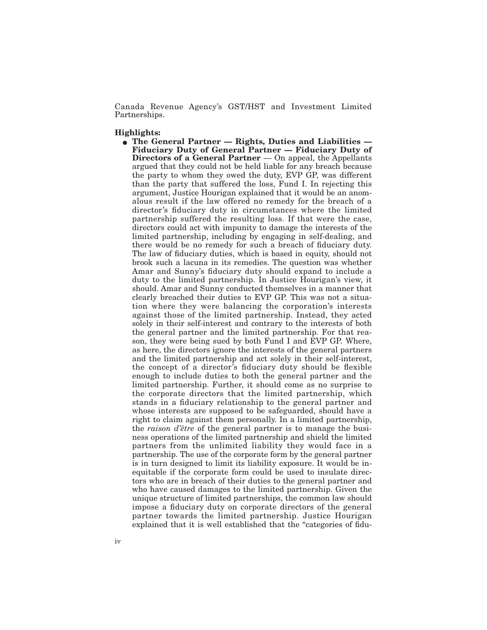Canada Revenue Agency's GST/HST and Investment Limited Partnerships.

## **Highlights:**

**The General Partner — Rights, Duties and Liabilities — Fiduciary Duty of General Partner — Fiduciary Duty of Directors of a General Partner** — On appeal, the Appellants argued that they could not be held liable for any breach because the party to whom they owed the duty, EVP GP, was different than the party that suffered the loss, Fund I. In rejecting this argument, Justice Hourigan explained that it would be an anomalous result if the law offered no remedy for the breach of a director's fiduciary duty in circumstances where the limited partnership suffered the resulting loss. If that were the case, directors could act with impunity to damage the interests of the limited partnership, including by engaging in self-dealing, and there would be no remedy for such a breach of fiduciary duty. The law of fiduciary duties, which is based in equity, should not brook such a lacuna in its remedies. The question was whether Amar and Sunny's fiduciary duty should expand to include a duty to the limited partnership. In Justice Hourigan's view, it should. Amar and Sunny conducted themselves in a manner that clearly breached their duties to EVP GP. This was not a situation where they were balancing the corporation's interests against those of the limited partnership. Instead, they acted solely in their self-interest and contrary to the interests of both the general partner and the limited partnership. For that reason, they were being sued by both Fund I and EVP GP. Where, as here, the directors ignore the interests of the general partners and the limited partnership and act solely in their self-interest, the concept of a director's fiduciary duty should be flexible enough to include duties to both the general partner and the limited partnership. Further, it should come as no surprise to the corporate directors that the limited partnership, which stands in a fiduciary relationship to the general partner and whose interests are supposed to be safeguarded, should have a right to claim against them personally. In a limited partnership, the *raison d'être* of the general partner is to manage the business operations of the limited partnership and shield the limited partners from the unlimited liability they would face in a partnership. The use of the corporate form by the general partner is in turn designed to limit its liability exposure. It would be inequitable if the corporate form could be used to insulate directors who are in breach of their duties to the general partner and who have caused damages to the limited partnership. Given the unique structure of limited partnerships, the common law should impose a fiduciary duty on corporate directors of the general partner towards the limited partnership. Justice Hourigan explained that it is well established that the "categories of fidu